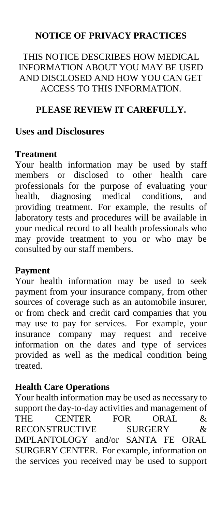#### **NOTICE OF PRIVACY PRACTICES**

#### THIS NOTICE DESCRIBES HOW MEDICAL INFORMATION ABOUT YOU MAY BE USED AND DISCLOSED AND HOW YOU CAN GET ACCESS TO THIS INFORMATION.

#### **PLEASE REVIEW IT CAREFULLY.**

#### **Uses and Disclosures**

#### **Treatment**

Your health information may be used by staff members or disclosed to other health care professionals for the purpose of evaluating your health, diagnosing medical conditions, and providing treatment. For example, the results of laboratory tests and procedures will be available in your medical record to all health professionals who may provide treatment to you or who may be consulted by our staff members.

#### **Payment**

Your health information may be used to seek payment from your insurance company, from other sources of coverage such as an automobile insurer, or from check and credit card companies that you may use to pay for services. For example, your insurance company may request and receive information on the dates and type of services provided as well as the medical condition being treated.

#### **Health Care Operations**

Your health information may be used as necessary to support the day-to-day activities and management of THE CENTER FOR ORAL & RECONSTRUCTIVE SURGERY & IMPLANTOLOGY and/or SANTA FE ORAL SURGERY CENTER. For example, information on the services you received may be used to support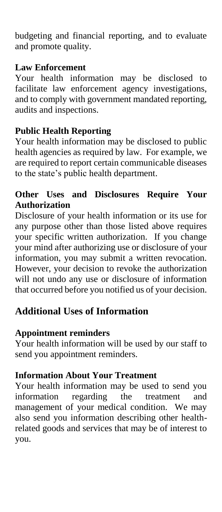budgeting and financial reporting, and to evaluate and promote quality.

#### **Law Enforcement**

Your health information may be disclosed to facilitate law enforcement agency investigations, and to comply with government mandated reporting, audits and inspections.

#### **Public Health Reporting**

Your health information may be disclosed to public health agencies as required by law. For example, we are required to report certain communicable diseases to the state's public health department.

#### **Other Uses and Disclosures Require Your Authorization**

Disclosure of your health information or its use for any purpose other than those listed above requires your specific written authorization. If you change your mind after authorizing use or disclosure of your information, you may submit a written revocation. However, your decision to revoke the authorization will not undo any use or disclosure of information that occurred before you notified us of your decision.

#### **Additional Uses of Information**

#### **Appointment reminders**

Your health information will be used by our staff to send you appointment reminders.

#### **Information About Your Treatment**

Your health information may be used to send you information regarding the treatment and management of your medical condition. We may also send you information describing other healthrelated goods and services that may be of interest to you.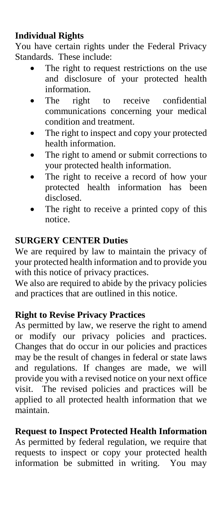#### **Individual Rights**

You have certain rights under the Federal Privacy Standards. These include:

- The right to request restrictions on the use and disclosure of your protected health information.
- The right to receive confidential communications concerning your medical condition and treatment.
- The right to inspect and copy your protected health information.
- The right to amend or submit corrections to your protected health information.
- The right to receive a record of how your protected health information has been disclosed.
- The right to receive a printed copy of this notice.

#### **SURGERY CENTER Duties**

We are required by law to maintain the privacy of your protected health information and to provide you with this notice of privacy practices.

We also are required to abide by the privacy policies and practices that are outlined in this notice.

#### **Right to Revise Privacy Practices**

As permitted by law, we reserve the right to amend or modify our privacy policies and practices. Changes that do occur in our policies and practices may be the result of changes in federal or state laws and regulations. If changes are made, we will provide you with a revised notice on your next office visit. The revised policies and practices will be applied to all protected health information that we maintain.

#### **Request to Inspect Protected Health Information**

As permitted by federal regulation, we require that requests to inspect or copy your protected health information be submitted in writing. You may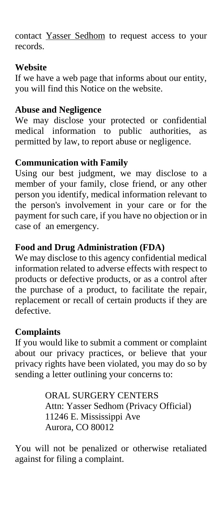contact Yasser Sedhom to request access to your records.

#### **Website**

If we have a web page that informs about our entity, you will find this Notice on the website.

#### **Abuse and Negligence**

We may disclose your protected or confidential medical information to public authorities, as permitted by law, to report abuse or negligence.

#### **Communication with Family**

Using our best judgment, we may disclose to a member of your family, close friend, or any other person you identify, medical information relevant to the person's involvement in your care or for the payment for such care, if you have no objection or in case of an emergency.

#### **Food and Drug Administration (FDA)**

We may disclose to this agency confidential medical information related to adverse effects with respect to products or defective products, or as a control after the purchase of a product, to facilitate the repair, replacement or recall of certain products if they are defective.

#### **Complaints**

If you would like to submit a comment or complaint about our privacy practices, or believe that your privacy rights have been violated, you may do so by sending a letter outlining your concerns to:

> ORAL SURGERY CENTERS Attn: Yasser Sedhom (Privacy Official) 11246 E. Mississippi Ave Aurora, CO 80012

You will not be penalized or otherwise retaliated against for filing a complaint.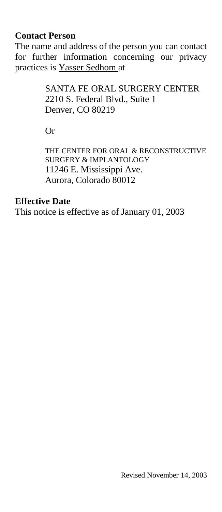#### **Contact Person**

The name and address of the person you can contact for further information concerning our privacy practices is Yasser Sedhom at

> SANTA FE ORAL SURGERY CENTER 2210 S. Federal Blvd., Suite 1 Denver, CO 80219

Or

THE CENTER FOR ORAL & RECONSTRUCTIVE SURGERY & IMPLANTOLOGY 11246 E. Mississippi Ave. Aurora, Colorado 80012

#### **Effective Date**

This notice is effective as of January 01, 2003